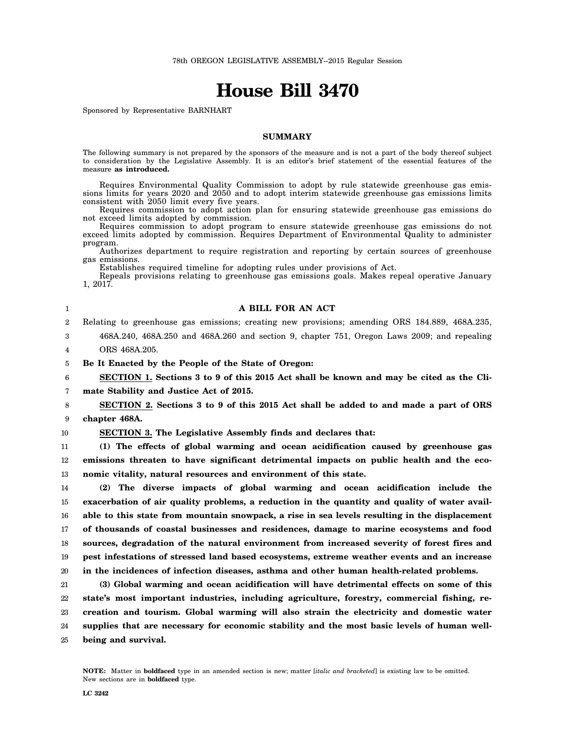# **House Bill 3470**

Sponsored by Representative BARNHART

### **SUMMARY**

The following summary is not prepared by the sponsors of the measure and is not a part of the body thereof subject to consideration by the Legislative Assembly. It is an editor's brief statement of the essential features of the measure **as introduced.**

Requires Environmental Quality Commission to adopt by rule statewide greenhouse gas emissions limits for years 2020 and 2050 and to adopt interim statewide greenhouse gas emissions limits consistent with 2050 limit every five years.

Requires commission to adopt action plan for ensuring statewide greenhouse gas emissions do not exceed limits adopted by commission.

Requires commission to adopt program to ensure statewide greenhouse gas emissions do not exceed limits adopted by commission. Requires Department of Environmental Quality to administer program.

Authorizes department to require registration and reporting by certain sources of greenhouse gas emissions.

Establishes required timeline for adopting rules under provisions of Act.

Repeals provisions relating to greenhouse gas emissions goals. Makes repeal operative January 1, 2017.

1

3

### **A BILL FOR AN ACT**

2 Relating to greenhouse gas emissions; creating new provisions; amending ORS 184.889, 468A.235,

468A.240, 468A.250 and 468A.260 and section 9, chapter 751, Oregon Laws 2009; and repealing

4 ORS 468A.205.

5 **Be It Enacted by the People of the State of Oregon:**

6 7 **SECTION 1. Sections 3 to 9 of this 2015 Act shall be known and may be cited as the Climate Stability and Justice Act of 2015.**

8 9 **SECTION 2. Sections 3 to 9 of this 2015 Act shall be added to and made a part of ORS chapter 468A.**

10

**SECTION 3. The Legislative Assembly finds and declares that:**

11 12 13 **(1) The effects of global warming and ocean acidification caused by greenhouse gas emissions threaten to have significant detrimental impacts on public health and the economic vitality, natural resources and environment of this state.**

14 15 16 17 18 19 20 **(2) The diverse impacts of global warming and ocean acidification include the exacerbation of air quality problems, a reduction in the quantity and quality of water available to this state from mountain snowpack, a rise in sea levels resulting in the displacement of thousands of coastal businesses and residences, damage to marine ecosystems and food sources, degradation of the natural environment from increased severity of forest fires and pest infestations of stressed land based ecosystems, extreme weather events and an increase in the incidences of infection diseases, asthma and other human health-related problems.**

21 22 23 24 25 **(3) Global warming and ocean acidification will have detrimental effects on some of this state's most important industries, including agriculture, forestry, commercial fishing, recreation and tourism. Global warming will also strain the electricity and domestic water supplies that are necessary for economic stability and the most basic levels of human wellbeing and survival.**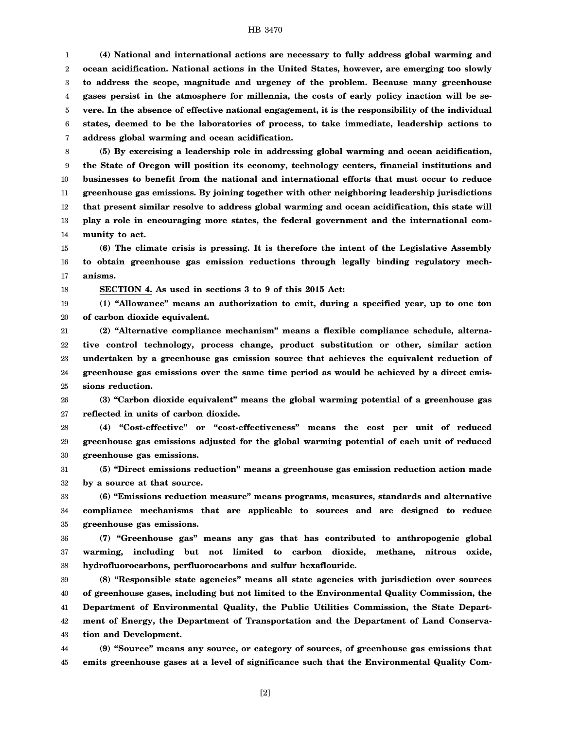1 2 3 4 5 6 7 **(4) National and international actions are necessary to fully address global warming and ocean acidification. National actions in the United States, however, are emerging too slowly to address the scope, magnitude and urgency of the problem. Because many greenhouse gases persist in the atmosphere for millennia, the costs of early policy inaction will be severe. In the absence of effective national engagement, it is the responsibility of the individual states, deemed to be the laboratories of process, to take immediate, leadership actions to address global warming and ocean acidification.**

8 9 10 11 12 13 14 **(5) By exercising a leadership role in addressing global warming and ocean acidification, the State of Oregon will position its economy, technology centers, financial institutions and businesses to benefit from the national and international efforts that must occur to reduce greenhouse gas emissions. By joining together with other neighboring leadership jurisdictions that present similar resolve to address global warming and ocean acidification, this state will play a role in encouraging more states, the federal government and the international community to act.**

15 16 17 **(6) The climate crisis is pressing. It is therefore the intent of the Legislative Assembly to obtain greenhouse gas emission reductions through legally binding regulatory mechanisms.**

18 **SECTION 4. As used in sections 3 to 9 of this 2015 Act:**

19 20 **(1) "Allowance" means an authorization to emit, during a specified year, up to one ton of carbon dioxide equivalent.**

21 22 23 24 25 **(2) "Alternative compliance mechanism" means a flexible compliance schedule, alternative control technology, process change, product substitution or other, similar action undertaken by a greenhouse gas emission source that achieves the equivalent reduction of greenhouse gas emissions over the same time period as would be achieved by a direct emissions reduction.**

26 27 **(3) "Carbon dioxide equivalent" means the global warming potential of a greenhouse gas reflected in units of carbon dioxide.**

28 29 30 **(4) "Cost-effective" or "cost-effectiveness" means the cost per unit of reduced greenhouse gas emissions adjusted for the global warming potential of each unit of reduced greenhouse gas emissions.**

31 32 **(5) "Direct emissions reduction" means a greenhouse gas emission reduction action made by a source at that source.**

33 34 35 **(6) "Emissions reduction measure" means programs, measures, standards and alternative compliance mechanisms that are applicable to sources and are designed to reduce greenhouse gas emissions.**

36 37 38 **(7) "Greenhouse gas" means any gas that has contributed to anthropogenic global warming, including but not limited to carbon dioxide, methane, nitrous oxide, hydrofluorocarbons, perfluorocarbons and sulfur hexaflouride.**

39 40 41 42 43 **(8) "Responsible state agencies" means all state agencies with jurisdiction over sources of greenhouse gases, including but not limited to the Environmental Quality Commission, the Department of Environmental Quality, the Public Utilities Commission, the State Department of Energy, the Department of Transportation and the Department of Land Conservation and Development.**

44 45 **(9) "Source" means any source, or category of sources, of greenhouse gas emissions that emits greenhouse gases at a level of significance such that the Environmental Quality Com-**

[2]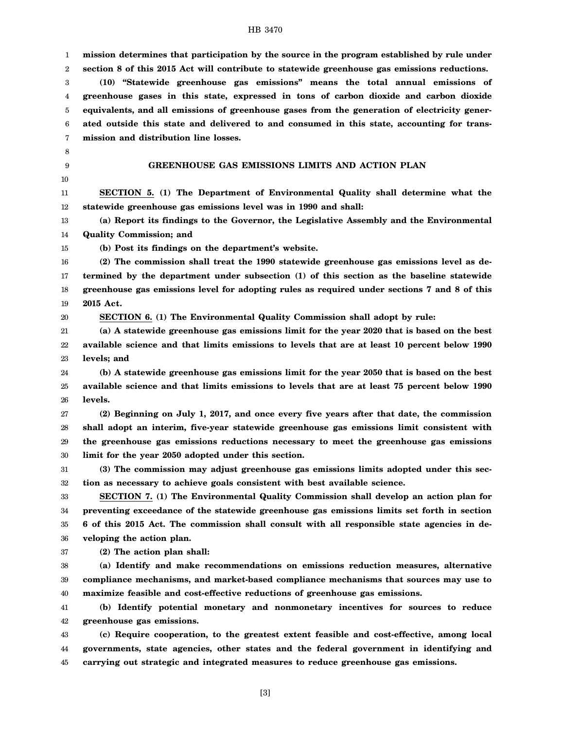| 1  | mission determines that participation by the source in the program established by rule under  |
|----|-----------------------------------------------------------------------------------------------|
| 2  | section 8 of this 2015 Act will contribute to statewide greenhouse gas emissions reductions.  |
| 3  | (10) "Statewide greenhouse gas emissions" means the total annual emissions of                 |
| 4  | greenhouse gases in this state, expressed in tons of carbon dioxide and carbon dioxide        |
| 5  | equivalents, and all emissions of greenhouse gases from the generation of electricity gener-  |
| 6  | ated outside this state and delivered to and consumed in this state, accounting for trans-    |
| 7  | mission and distribution line losses.                                                         |
| 8  |                                                                                               |
| 9  | GREENHOUSE GAS EMISSIONS LIMITS AND ACTION PLAN                                               |
| 10 |                                                                                               |
| 11 | SECTION 5. (1) The Department of Environmental Quality shall determine what the               |
| 12 | statewide greenhouse gas emissions level was in 1990 and shall:                               |
| 13 | (a) Report its findings to the Governor, the Legislative Assembly and the Environmental       |
| 14 | <b>Quality Commission; and</b>                                                                |
| 15 | (b) Post its findings on the department's website.                                            |
| 16 | (2) The commission shall treat the 1990 statewide greenhouse gas emissions level as de-       |
| 17 | termined by the department under subsection (1) of this section as the baseline statewide     |
| 18 | greenhouse gas emissions level for adopting rules as required under sections 7 and 8 of this  |
| 19 | 2015 Act.                                                                                     |
| 20 | <b>SECTION 6.</b> (1) The Environmental Quality Commission shall adopt by rule:               |
| 21 | (a) A statewide greenhouse gas emissions limit for the year 2020 that is based on the best    |
| 22 | available science and that limits emissions to levels that are at least 10 percent below 1990 |
| 23 | levels; and                                                                                   |
| 24 | (b) A statewide greenhouse gas emissions limit for the year 2050 that is based on the best    |
| 25 | available science and that limits emissions to levels that are at least 75 percent below 1990 |
| 26 | levels.                                                                                       |
| 27 | (2) Beginning on July 1, 2017, and once every five years after that date, the commission      |
| 28 | shall adopt an interim, five-year statewide greenhouse gas emissions limit consistent with    |
| 29 | the greenhouse gas emissions reductions necessary to meet the greenhouse gas emissions        |
| 30 | limit for the year 2050 adopted under this section.                                           |
| 31 | (3) The commission may adjust greenhouse gas emissions limits adopted under this sec-         |
| 32 | tion as necessary to achieve goals consistent with best available science.                    |
| 33 | SECTION 7. (1) The Environmental Quality Commission shall develop an action plan for          |
| 34 | preventing exceedance of the statewide greenhouse gas emissions limits set forth in section   |
| 35 | 6 of this 2015 Act. The commission shall consult with all responsible state agencies in de-   |
| 36 | veloping the action plan.                                                                     |
| 37 | (2) The action plan shall:                                                                    |
| 38 | (a) Identify and make recommendations on emissions reduction measures, alternative            |
| 39 | compliance mechanisms, and market-based compliance mechanisms that sources may use to         |
| 40 | maximize feasible and cost-effective reductions of greenhouse gas emissions.                  |
| 41 | (b) Identify potential monetary and nonmonetary incentives for sources to reduce              |
| 42 | greenhouse gas emissions.                                                                     |
| 43 | (c) Require cooperation, to the greatest extent feasible and cost-effective, among local      |
| 44 | governments, state agencies, other states and the federal government in identifying and       |
| 45 | carrying out strategic and integrated measures to reduce greenhouse gas emissions.            |
|    |                                                                                               |

[3]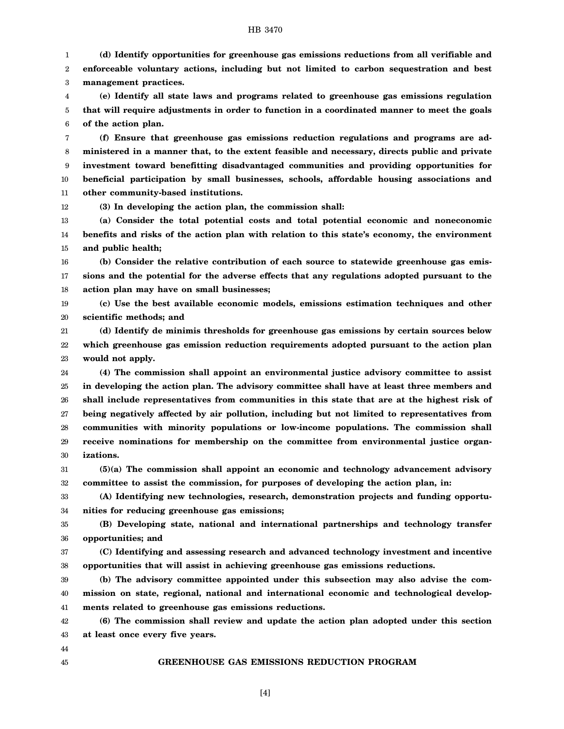1 2 3 **(d) Identify opportunities for greenhouse gas emissions reductions from all verifiable and enforceable voluntary actions, including but not limited to carbon sequestration and best management practices.**

4 5 6 **(e) Identify all state laws and programs related to greenhouse gas emissions regulation that will require adjustments in order to function in a coordinated manner to meet the goals of the action plan.**

7 8 9 10 11 **(f) Ensure that greenhouse gas emissions reduction regulations and programs are administered in a manner that, to the extent feasible and necessary, directs public and private investment toward benefitting disadvantaged communities and providing opportunities for beneficial participation by small businesses, schools, affordable housing associations and other community-based institutions.**

12 **(3) In developing the action plan, the commission shall:**

13 14 15 **(a) Consider the total potential costs and total potential economic and noneconomic benefits and risks of the action plan with relation to this state's economy, the environment and public health;**

16 17 18 **(b) Consider the relative contribution of each source to statewide greenhouse gas emissions and the potential for the adverse effects that any regulations adopted pursuant to the action plan may have on small businesses;**

19 20 **(c) Use the best available economic models, emissions estimation techniques and other scientific methods; and**

21 22 23 **(d) Identify de minimis thresholds for greenhouse gas emissions by certain sources below which greenhouse gas emission reduction requirements adopted pursuant to the action plan would not apply.**

24 25 26 27 28 29 30 **(4) The commission shall appoint an environmental justice advisory committee to assist in developing the action plan. The advisory committee shall have at least three members and shall include representatives from communities in this state that are at the highest risk of being negatively affected by air pollution, including but not limited to representatives from communities with minority populations or low-income populations. The commission shall receive nominations for membership on the committee from environmental justice organizations.**

31 32 **(5)(a) The commission shall appoint an economic and technology advancement advisory committee to assist the commission, for purposes of developing the action plan, in:**

33 34 **(A) Identifying new technologies, research, demonstration projects and funding opportunities for reducing greenhouse gas emissions;**

35 36 **(B) Developing state, national and international partnerships and technology transfer opportunities; and**

37 38 **(C) Identifying and assessing research and advanced technology investment and incentive opportunities that will assist in achieving greenhouse gas emissions reductions.**

39 40 41 **(b) The advisory committee appointed under this subsection may also advise the commission on state, regional, national and international economic and technological developments related to greenhouse gas emissions reductions.**

42 43 **(6) The commission shall review and update the action plan adopted under this section at least once every five years.**

## **GREENHOUSE GAS EMISSIONS REDUCTION PROGRAM**

44 45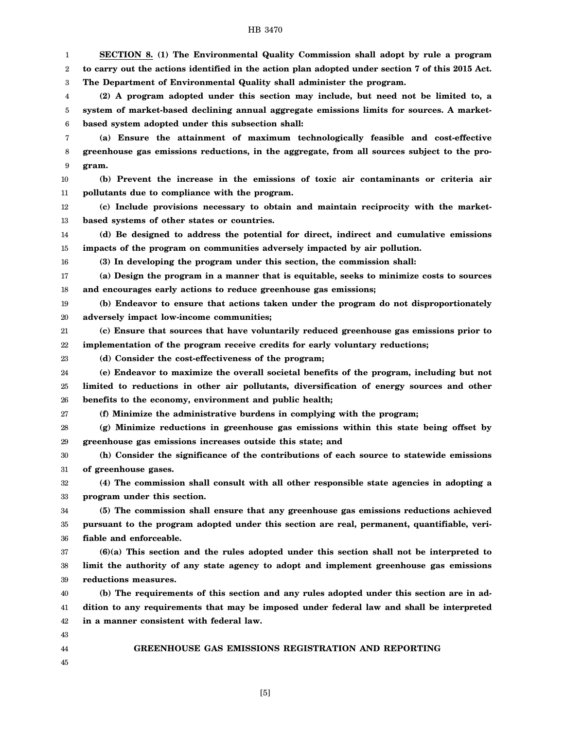1 2 3 4 5 6 7 8 9 10 11 12 13 14 15 16 17 18 19 20 21 22 23 24 25 26 27 28 29 30 31 32 33 34 35 36 37 38 39 40 41 42 43 44 **SECTION 8. (1) The Environmental Quality Commission shall adopt by rule a program to carry out the actions identified in the action plan adopted under section 7 of this 2015 Act. The Department of Environmental Quality shall administer the program. (2) A program adopted under this section may include, but need not be limited to, a system of market-based declining annual aggregate emissions limits for sources. A marketbased system adopted under this subsection shall: (a) Ensure the attainment of maximum technologically feasible and cost-effective greenhouse gas emissions reductions, in the aggregate, from all sources subject to the program. (b) Prevent the increase in the emissions of toxic air contaminants or criteria air pollutants due to compliance with the program. (c) Include provisions necessary to obtain and maintain reciprocity with the marketbased systems of other states or countries. (d) Be designed to address the potential for direct, indirect and cumulative emissions impacts of the program on communities adversely impacted by air pollution. (3) In developing the program under this section, the commission shall: (a) Design the program in a manner that is equitable, seeks to minimize costs to sources and encourages early actions to reduce greenhouse gas emissions; (b) Endeavor to ensure that actions taken under the program do not disproportionately adversely impact low-income communities; (c) Ensure that sources that have voluntarily reduced greenhouse gas emissions prior to implementation of the program receive credits for early voluntary reductions; (d) Consider the cost-effectiveness of the program; (e) Endeavor to maximize the overall societal benefits of the program, including but not limited to reductions in other air pollutants, diversification of energy sources and other benefits to the economy, environment and public health; (f) Minimize the administrative burdens in complying with the program; (g) Minimize reductions in greenhouse gas emissions within this state being offset by greenhouse gas emissions increases outside this state; and (h) Consider the significance of the contributions of each source to statewide emissions of greenhouse gases. (4) The commission shall consult with all other responsible state agencies in adopting a program under this section. (5) The commission shall ensure that any greenhouse gas emissions reductions achieved pursuant to the program adopted under this section are real, permanent, quantifiable, verifiable and enforceable. (6)(a) This section and the rules adopted under this section shall not be interpreted to limit the authority of any state agency to adopt and implement greenhouse gas emissions reductions measures. (b) The requirements of this section and any rules adopted under this section are in addition to any requirements that may be imposed under federal law and shall be interpreted in a manner consistent with federal law.**

45

#### **GREENHOUSE GAS EMISSIONS REGISTRATION AND REPORTING**

[5]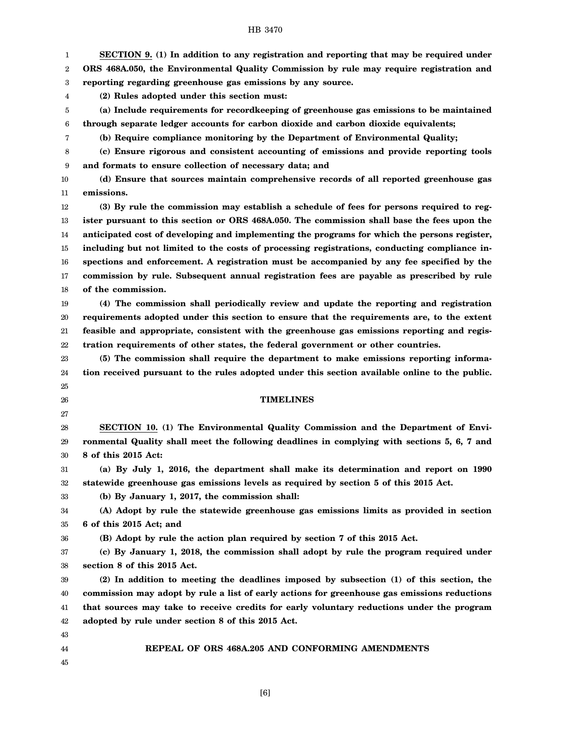| 1      | SECTION 9. (1) In addition to any registration and reporting that may be required under        |
|--------|------------------------------------------------------------------------------------------------|
| 2      | ORS 468A.050, the Environmental Quality Commission by rule may require registration and        |
| 3      | reporting regarding greenhouse gas emissions by any source.                                    |
| 4      | (2) Rules adopted under this section must:                                                     |
| 5      | (a) Include requirements for recordkeeping of greenhouse gas emissions to be maintained        |
| 6      | through separate ledger accounts for carbon dioxide and carbon dioxide equivalents;            |
| 7      | (b) Require compliance monitoring by the Department of Environmental Quality;                  |
| 8      | (c) Ensure rigorous and consistent accounting of emissions and provide reporting tools         |
| 9      | and formats to ensure collection of necessary data; and                                        |
| 10     | (d) Ensure that sources maintain comprehensive records of all reported greenhouse gas          |
| 11     | emissions.                                                                                     |
| 12     | (3) By rule the commission may establish a schedule of fees for persons required to reg-       |
| 13     | ister pursuant to this section or ORS 468A.050. The commission shall base the fees upon the    |
| 14     | anticipated cost of developing and implementing the programs for which the persons register,   |
| 15     | including but not limited to the costs of processing registrations, conducting compliance in-  |
| 16     | spections and enforcement. A registration must be accompanied by any fee specified by the      |
| 17     | commission by rule. Subsequent annual registration fees are payable as prescribed by rule      |
| 18     | of the commission.                                                                             |
| 19     | (4) The commission shall periodically review and update the reporting and registration         |
| 20     | requirements adopted under this section to ensure that the requirements are, to the extent     |
| 21     | feasible and appropriate, consistent with the greenhouse gas emissions reporting and regis-    |
| 22     | tration requirements of other states, the federal government or other countries.               |
| 23     | (5) The commission shall require the department to make emissions reporting informa-           |
| 24     | tion received pursuant to the rules adopted under this section available online to the public. |
| 25     |                                                                                                |
| 26     | <b>TIMELINES</b>                                                                               |
| 27     |                                                                                                |
| 28     | SECTION 10. (1) The Environmental Quality Commission and the Department of Envi-               |
| 29     | ronmental Quality shall meet the following deadlines in complying with sections 5, 6, 7 and    |
| 30     | 8 of this 2015 Act:                                                                            |
| 31     | (a) By July 1, 2016, the department shall make its determination and report on 1990            |
| $32\,$ | statewide greenhouse gas emissions levels as required by section 5 of this 2015 Act.           |
| 33     | (b) By January 1, 2017, the commission shall:                                                  |
| 34     | (A) Adopt by rule the statewide greenhouse gas emissions limits as provided in section         |
| 35     | 6 of this 2015 Act; and                                                                        |
| 36     | (B) Adopt by rule the action plan required by section 7 of this 2015 Act.                      |
| 37     | (c) By January 1, 2018, the commission shall adopt by rule the program required under          |
| 38     | section 8 of this 2015 Act.                                                                    |
| 39     | (2) In addition to meeting the deadlines imposed by subsection (1) of this section, the        |
| 40     | commission may adopt by rule a list of early actions for greenhouse gas emissions reductions   |
| 41     | that sources may take to receive credits for early voluntary reductions under the program      |
| 42     | adopted by rule under section 8 of this 2015 Act.                                              |
| 43     |                                                                                                |
| 44     | REPEAL OF ORS 468A.205 AND CONFORMING AMENDMENTS                                               |
|        |                                                                                                |

45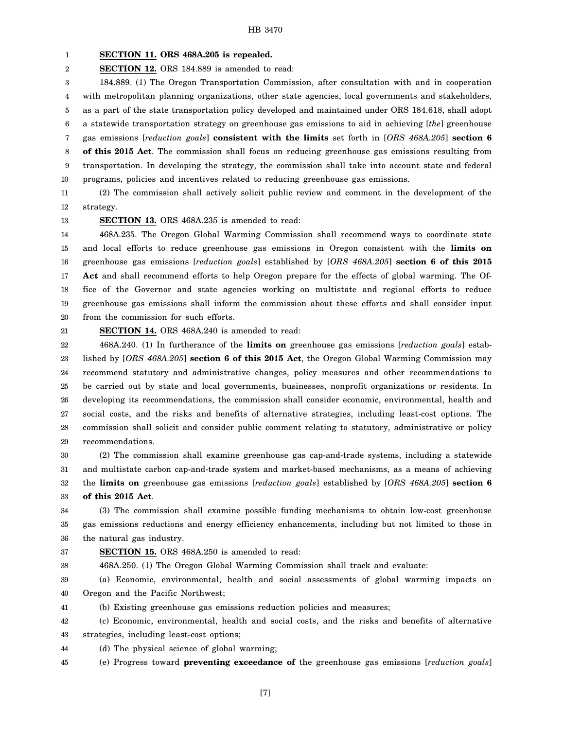#### 1 **SECTION 11. ORS 468A.205 is repealed.**

2 **SECTION 12.** ORS 184.889 is amended to read:

3 4 5 6 7 8 9 10 184.889. (1) The Oregon Transportation Commission, after consultation with and in cooperation with metropolitan planning organizations, other state agencies, local governments and stakeholders, as a part of the state transportation policy developed and maintained under ORS 184.618, shall adopt a statewide transportation strategy on greenhouse gas emissions to aid in achieving [*the*] greenhouse gas emissions [*reduction goals*] **consistent with the limits** set forth in [*ORS 468A.205*] **section 6 of this 2015 Act**. The commission shall focus on reducing greenhouse gas emissions resulting from transportation. In developing the strategy, the commission shall take into account state and federal programs, policies and incentives related to reducing greenhouse gas emissions.

11 12 (2) The commission shall actively solicit public review and comment in the development of the strategy.

13

#### **SECTION 13.** ORS 468A.235 is amended to read:

14 15 16 17 18 19 20 468A.235. The Oregon Global Warming Commission shall recommend ways to coordinate state and local efforts to reduce greenhouse gas emissions in Oregon consistent with the **limits on** greenhouse gas emissions [*reduction goals*] established by [*ORS 468A.205*] **section 6 of this 2015 Act** and shall recommend efforts to help Oregon prepare for the effects of global warming. The Office of the Governor and state agencies working on multistate and regional efforts to reduce greenhouse gas emissions shall inform the commission about these efforts and shall consider input from the commission for such efforts.

21

**SECTION 14.** ORS 468A.240 is amended to read:

22 23 24 25 26 27 28 29 468A.240. (1) In furtherance of the **limits on** greenhouse gas emissions [*reduction goals*] established by [*ORS 468A.205*] **section 6 of this 2015 Act**, the Oregon Global Warming Commission may recommend statutory and administrative changes, policy measures and other recommendations to be carried out by state and local governments, businesses, nonprofit organizations or residents. In developing its recommendations, the commission shall consider economic, environmental, health and social costs, and the risks and benefits of alternative strategies, including least-cost options. The commission shall solicit and consider public comment relating to statutory, administrative or policy recommendations.

30 31 32 33 (2) The commission shall examine greenhouse gas cap-and-trade systems, including a statewide and multistate carbon cap-and-trade system and market-based mechanisms, as a means of achieving the **limits on** greenhouse gas emissions [*reduction goals*] established by [*ORS 468A.205*] **section 6 of this 2015 Act**.

34 35 36 (3) The commission shall examine possible funding mechanisms to obtain low-cost greenhouse gas emissions reductions and energy efficiency enhancements, including but not limited to those in the natural gas industry.

37 **SECTION 15.** ORS 468A.250 is amended to read:

38 468A.250. (1) The Oregon Global Warming Commission shall track and evaluate:

39 40 (a) Economic, environmental, health and social assessments of global warming impacts on Oregon and the Pacific Northwest;

41 (b) Existing greenhouse gas emissions reduction policies and measures;

42 (c) Economic, environmental, health and social costs, and the risks and benefits of alternative

43 strategies, including least-cost options;

44 (d) The physical science of global warming;

45 (e) Progress toward **preventing exceedance of** the greenhouse gas emissions [*reduction goals*]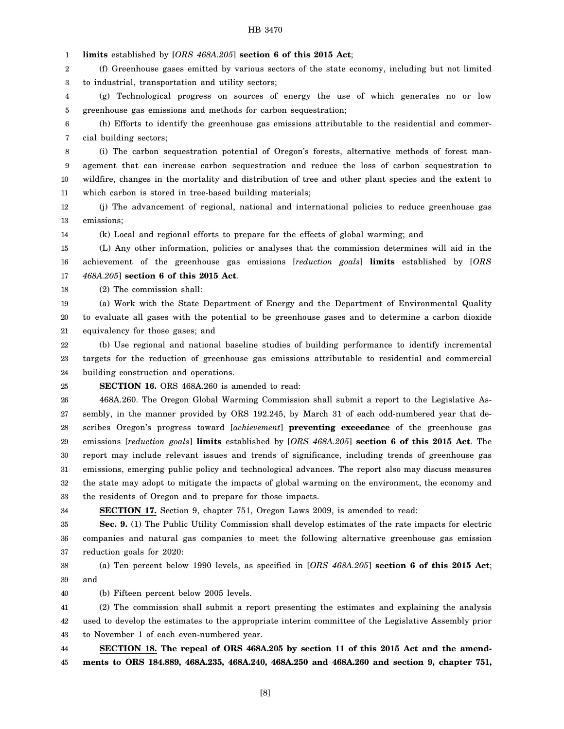1 **limits** established by [*ORS 468A.205*] **section 6 of this 2015 Act**;

2 3 (f) Greenhouse gases emitted by various sectors of the state economy, including but not limited to industrial, transportation and utility sectors;

4 5 (g) Technological progress on sources of energy the use of which generates no or low greenhouse gas emissions and methods for carbon sequestration;

6 7 (h) Efforts to identify the greenhouse gas emissions attributable to the residential and commercial building sectors;

8 9 10 11 (i) The carbon sequestration potential of Oregon's forests, alternative methods of forest management that can increase carbon sequestration and reduce the loss of carbon sequestration to wildfire, changes in the mortality and distribution of tree and other plant species and the extent to which carbon is stored in tree-based building materials;

12 13 (j) The advancement of regional, national and international policies to reduce greenhouse gas emissions;

14 (k) Local and regional efforts to prepare for the effects of global warming; and

15 16 17 (L) Any other information, policies or analyses that the commission determines will aid in the achievement of the greenhouse gas emissions [*reduction goals*] **limits** established by [*ORS 468A.205*] **section 6 of this 2015 Act**.

18 (2) The commission shall:

19 20 21 (a) Work with the State Department of Energy and the Department of Environmental Quality to evaluate all gases with the potential to be greenhouse gases and to determine a carbon dioxide equivalency for those gases; and

22 23 24 (b) Use regional and national baseline studies of building performance to identify incremental targets for the reduction of greenhouse gas emissions attributable to residential and commercial building construction and operations.

25

#### **SECTION 16.** ORS 468A.260 is amended to read:

26 27 28 29 30 31 32 33 468A.260. The Oregon Global Warming Commission shall submit a report to the Legislative Assembly, in the manner provided by ORS 192.245, by March 31 of each odd-numbered year that describes Oregon's progress toward [*achievement*] **preventing exceedance** of the greenhouse gas emissions [*reduction goals*] **limits** established by [*ORS 468A.205*] **section 6 of this 2015 Act**. The report may include relevant issues and trends of significance, including trends of greenhouse gas emissions, emerging public policy and technological advances. The report also may discuss measures the state may adopt to mitigate the impacts of global warming on the environment, the economy and the residents of Oregon and to prepare for those impacts.

34

**SECTION 17.** Section 9, chapter 751, Oregon Laws 2009, is amended to read:

35 36 37 **Sec. 9.** (1) The Public Utility Commission shall develop estimates of the rate impacts for electric companies and natural gas companies to meet the following alternative greenhouse gas emission reduction goals for 2020:

38 39 (a) Ten percent below 1990 levels, as specified in [*ORS 468A.205*] **section 6 of this 2015 Act**; and

40 (b) Fifteen percent below 2005 levels.

41 42 43 (2) The commission shall submit a report presenting the estimates and explaining the analysis used to develop the estimates to the appropriate interim committee of the Legislative Assembly prior to November 1 of each even-numbered year.

44 45 **SECTION 18. The repeal of ORS 468A.205 by section 11 of this 2015 Act and the amendments to ORS 184.889, 468A.235, 468A.240, 468A.250 and 468A.260 and section 9, chapter 751,**